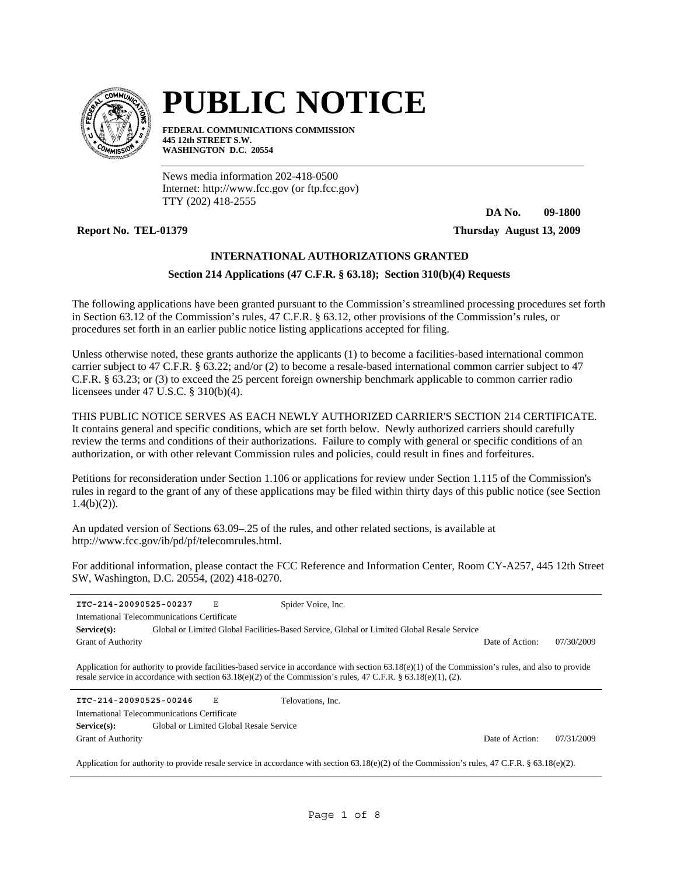

# **PUBLIC NOTICE**

**FEDERAL COMMUNICATIONS COMMISSION 445 12th STREET S.W. WASHINGTON D.C. 20554**

News media information 202-418-0500 Internet: http://www.fcc.gov (or ftp.fcc.gov) TTY (202) 418-2555

**DA No. 09-1800**

**Report No. TEL-01379 Thursday August 13, 2009**

# **INTERNATIONAL AUTHORIZATIONS GRANTED**

# **Section 214 Applications (47 C.F.R. § 63.18); Section 310(b)(4) Requests**

The following applications have been granted pursuant to the Commission's streamlined processing procedures set forth in Section 63.12 of the Commission's rules, 47 C.F.R. § 63.12, other provisions of the Commission's rules, or procedures set forth in an earlier public notice listing applications accepted for filing.

Unless otherwise noted, these grants authorize the applicants (1) to become a facilities-based international common carrier subject to 47 C.F.R. § 63.22; and/or (2) to become a resale-based international common carrier subject to 47 C.F.R. § 63.23; or (3) to exceed the 25 percent foreign ownership benchmark applicable to common carrier radio licensees under 47 U.S.C. § 310(b)(4).

THIS PUBLIC NOTICE SERVES AS EACH NEWLY AUTHORIZED CARRIER'S SECTION 214 CERTIFICATE. It contains general and specific conditions, which are set forth below. Newly authorized carriers should carefully review the terms and conditions of their authorizations. Failure to comply with general or specific conditions of an authorization, or with other relevant Commission rules and policies, could result in fines and forfeitures.

Petitions for reconsideration under Section 1.106 or applications for review under Section 1.115 of the Commission's rules in regard to the grant of any of these applications may be filed within thirty days of this public notice (see Section  $1.4(b)(2)$ ).

An updated version of Sections 63.09–.25 of the rules, and other related sections, is available at http://www.fcc.gov/ib/pd/pf/telecomrules.html.

For additional information, please contact the FCC Reference and Information Center, Room CY-A257, 445 12th Street SW, Washington, D.C. 20554, (202) 418-0270.

| ITC-214-20090525-00237                                                                                                                         |  | Ε | Spider Voice, Inc.                                                                                                                                                                                                                                                       |                 |            |
|------------------------------------------------------------------------------------------------------------------------------------------------|--|---|--------------------------------------------------------------------------------------------------------------------------------------------------------------------------------------------------------------------------------------------------------------------------|-----------------|------------|
| International Telecommunications Certificate                                                                                                   |  |   |                                                                                                                                                                                                                                                                          |                 |            |
| Service(s):                                                                                                                                    |  |   | Global or Limited Global Facilities-Based Service, Global or Limited Global Resale Service                                                                                                                                                                               |                 |            |
| <b>Grant of Authority</b>                                                                                                                      |  |   |                                                                                                                                                                                                                                                                          | Date of Action: | 07/30/2009 |
|                                                                                                                                                |  |   | Application for authority to provide facilities-based service in accordance with section $(3.18(e)(1))$ of the Commission's rules, and also to provide<br>resale service in accordance with section 63.18(e)(2) of the Commission's rules, 47 C.F.R. § 63.18(e)(1), (2). |                 |            |
| ITC-214-20090525-00246                                                                                                                         |  | Е | Telovations, Inc.                                                                                                                                                                                                                                                        |                 |            |
| International Telecommunications Certificate                                                                                                   |  |   |                                                                                                                                                                                                                                                                          |                 |            |
| Service(s):                                                                                                                                    |  |   | Global or Limited Global Resale Service                                                                                                                                                                                                                                  |                 |            |
| <b>Grant of Authority</b>                                                                                                                      |  |   |                                                                                                                                                                                                                                                                          | Date of Action: | 07/31/2009 |
| Application for authority to provide resale service in accordance with section 63.18(e)(2) of the Commission's rules, 47 C.F.R. § 63.18(e)(2). |  |   |                                                                                                                                                                                                                                                                          |                 |            |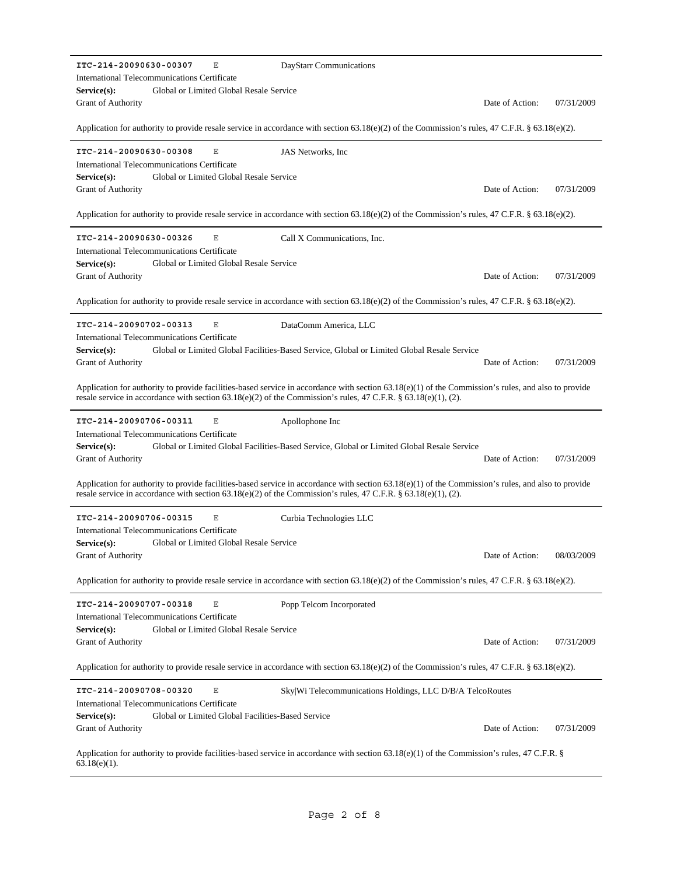| ITC-214-20090630-00307<br>DayStarr Communications<br>Ε                                                                                                                                                                                                                  |                 |            |
|-------------------------------------------------------------------------------------------------------------------------------------------------------------------------------------------------------------------------------------------------------------------------|-----------------|------------|
| International Telecommunications Certificate<br>Global or Limited Global Resale Service<br>Service(s):                                                                                                                                                                  |                 |            |
| Grant of Authority                                                                                                                                                                                                                                                      | Date of Action: | 07/31/2009 |
| Application for authority to provide resale service in accordance with section 63.18(e)(2) of the Commission's rules, 47 C.F.R. § 63.18(e)(2).                                                                                                                          |                 |            |
| ITC-214-20090630-00308<br>Ε<br>JAS Networks, Inc.                                                                                                                                                                                                                       |                 |            |
| International Telecommunications Certificate<br>Global or Limited Global Resale Service<br>Service(s):                                                                                                                                                                  |                 |            |
| Grant of Authority                                                                                                                                                                                                                                                      | Date of Action: | 07/31/2009 |
| Application for authority to provide resale service in accordance with section 63.18(e)(2) of the Commission's rules, 47 C.F.R. § 63.18(e)(2).                                                                                                                          |                 |            |
| ITC-214-20090630-00326<br>Ε<br>Call X Communications, Inc.                                                                                                                                                                                                              |                 |            |
| International Telecommunications Certificate                                                                                                                                                                                                                            |                 |            |
| Global or Limited Global Resale Service<br>$Service(s)$ :<br>Grant of Authority                                                                                                                                                                                         | Date of Action: | 07/31/2009 |
| Application for authority to provide resale service in accordance with section 63.18(e)(2) of the Commission's rules, 47 C.F.R. § 63.18(e)(2).                                                                                                                          |                 |            |
|                                                                                                                                                                                                                                                                         |                 |            |
| ITC-214-20090702-00313<br>Е<br>DataComm America, LLC<br>International Telecommunications Certificate                                                                                                                                                                    |                 |            |
| Global or Limited Global Facilities-Based Service, Global or Limited Global Resale Service<br>Service(s):                                                                                                                                                               |                 |            |
| Grant of Authority                                                                                                                                                                                                                                                      | Date of Action: | 07/31/2009 |
| Application for authority to provide facilities-based service in accordance with section $63.18(e)(1)$ of the Commission's rules, and also to provide<br>resale service in accordance with section 63.18(e)(2) of the Commission's rules, 47 C.F.R. § 63.18(e)(1), (2). |                 |            |
| ITC-214-20090706-00311<br>Ε<br>Apollophone Inc                                                                                                                                                                                                                          |                 |            |
| International Telecommunications Certificate                                                                                                                                                                                                                            |                 |            |
| $Service(s)$ :<br>Global or Limited Global Facilities-Based Service, Global or Limited Global Resale Service<br>Grant of Authority                                                                                                                                      | Date of Action: | 07/31/2009 |
|                                                                                                                                                                                                                                                                         |                 |            |
| Application for authority to provide facilities-based service in accordance with section 63.18(e)(1) of the Commission's rules, and also to provide<br>resale service in accordance with section 63.18(e)(2) of the Commission's rules, 47 C.F.R. § 63.18(e)(1), (2).   |                 |            |
| ITC-214-20090706-00315<br>Ε<br>Curbia Technologies LLC                                                                                                                                                                                                                  |                 |            |
| International Telecommunications Certificate                                                                                                                                                                                                                            |                 |            |
| Global or Limited Global Resale Service<br>Service(s):<br>Grant of Authority                                                                                                                                                                                            | Date of Action: | 08/03/2009 |
| Application for authority to provide resale service in accordance with section 63.18(e)(2) of the Commission's rules, 47 C.F.R. § 63.18(e)(2).                                                                                                                          |                 |            |
| ITC-214-20090707-00318<br>Ε<br>Popp Telcom Incorporated                                                                                                                                                                                                                 |                 |            |
| International Telecommunications Certificate                                                                                                                                                                                                                            |                 |            |
| $Service(s)$ :<br>Global or Limited Global Resale Service                                                                                                                                                                                                               |                 |            |
| Grant of Authority                                                                                                                                                                                                                                                      | Date of Action: | 07/31/2009 |
| Application for authority to provide resale service in accordance with section 63.18(e)(2) of the Commission's rules, 47 C.F.R. § 63.18(e)(2).                                                                                                                          |                 |            |
| ITC-214-20090708-00320<br>Ε<br>Sky Wi Telecommunications Holdings, LLC D/B/A TelcoRoutes                                                                                                                                                                                |                 |            |
| International Telecommunications Certificate<br>Global or Limited Global Facilities-Based Service<br>Service(s):                                                                                                                                                        |                 |            |
| Grant of Authority                                                                                                                                                                                                                                                      | Date of Action: | 07/31/2009 |
| Application for authority to provide facilities-based service in accordance with section 63.18(e)(1) of the Commission's rules, 47 C.F.R. §<br>$63.18(e)(1)$ .                                                                                                          |                 |            |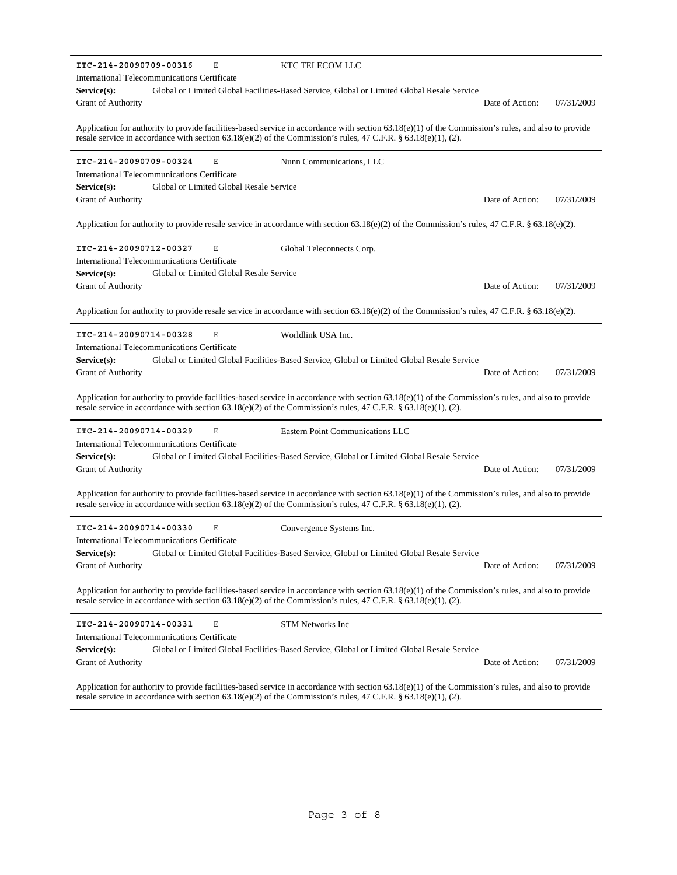| International Telecommunications Certificate                                                                                                                                                                                                                             |                 |            |
|--------------------------------------------------------------------------------------------------------------------------------------------------------------------------------------------------------------------------------------------------------------------------|-----------------|------------|
| Global or Limited Global Facilities-Based Service, Global or Limited Global Resale Service                                                                                                                                                                               |                 |            |
| $Service(s)$ :<br>Grant of Authority                                                                                                                                                                                                                                     | Date of Action: | 07/31/2009 |
|                                                                                                                                                                                                                                                                          |                 |            |
| Application for authority to provide facilities-based service in accordance with section $63.18(e)(1)$ of the Commission's rules, and also to provide<br>resale service in accordance with section 63.18(e)(2) of the Commission's rules, 47 C.F.R. § 63.18(e)(1), (2).  |                 |            |
| ITC-214-20090709-00324<br>Ε<br>Nunn Communications, LLC                                                                                                                                                                                                                  |                 |            |
| International Telecommunications Certificate                                                                                                                                                                                                                             |                 |            |
| Global or Limited Global Resale Service<br>$Service(s)$ :                                                                                                                                                                                                                |                 |            |
| Grant of Authority                                                                                                                                                                                                                                                       | Date of Action: | 07/31/2009 |
| Application for authority to provide resale service in accordance with section 63.18(e)(2) of the Commission's rules, 47 C.F.R. § 63.18(e)(2).                                                                                                                           |                 |            |
| ITC-214-20090712-00327<br>Ε<br>Global Teleconnects Corp.                                                                                                                                                                                                                 |                 |            |
| International Telecommunications Certificate                                                                                                                                                                                                                             |                 |            |
| Global or Limited Global Resale Service<br>$Service(s)$ :                                                                                                                                                                                                                |                 |            |
| <b>Grant of Authority</b>                                                                                                                                                                                                                                                | Date of Action: | 07/31/2009 |
| Application for authority to provide resale service in accordance with section 63.18(e)(2) of the Commission's rules, 47 C.F.R. § 63.18(e)(2).                                                                                                                           |                 |            |
| ITC-214-20090714-00328<br>Ε<br>Worldlink USA Inc.                                                                                                                                                                                                                        |                 |            |
| International Telecommunications Certificate                                                                                                                                                                                                                             |                 |            |
| Global or Limited Global Facilities-Based Service, Global or Limited Global Resale Service<br>Service(s):                                                                                                                                                                |                 |            |
| <b>Grant of Authority</b>                                                                                                                                                                                                                                                | Date of Action: | 07/31/2009 |
| Application for authority to provide facilities-based service in accordance with section $63.18(e)(1)$ of the Commission's rules, and also to provide<br>resale service in accordance with section 63.18(e)(2) of the Commission's rules, 47 C.F.R. § 63.18(e)(1), (2).  |                 |            |
| ITC-214-20090714-00329<br>Ε<br>Eastern Point Communications LLC                                                                                                                                                                                                          |                 |            |
| International Telecommunications Certificate                                                                                                                                                                                                                             |                 |            |
|                                                                                                                                                                                                                                                                          |                 |            |
| Global or Limited Global Facilities-Based Service, Global or Limited Global Resale Service<br>Service(s):                                                                                                                                                                |                 |            |
| <b>Grant of Authority</b>                                                                                                                                                                                                                                                | Date of Action: | 07/31/2009 |
| Application for authority to provide facilities-based service in accordance with section $63.18(e)(1)$ of the Commission's rules, and also to provide<br>resale service in accordance with section 63.18(e)(2) of the Commission's rules, 47 C.F.R. § 63.18(e)(1), (2).  |                 |            |
| ITC-214-20090714-00330<br>E                                                                                                                                                                                                                                              |                 |            |
| Convergence Systems Inc.<br>International Telecommunications Certificate                                                                                                                                                                                                 |                 |            |
| Service(s): Global or Limited Global Facilities-Based Service, Global or Limited Global Resale Service                                                                                                                                                                   |                 |            |
| <b>Grant of Authority</b>                                                                                                                                                                                                                                                | Date of Action: | 07/31/2009 |
|                                                                                                                                                                                                                                                                          |                 |            |
| Application for authority to provide facilities-based service in accordance with section $(3.18(e)(1))$ of the Commission's rules, and also to provide<br>resale service in accordance with section 63.18(e)(2) of the Commission's rules, 47 C.F.R. § 63.18(e)(1), (2). |                 |            |
| ITC-214-20090714-00331<br>Ε<br><b>STM Networks Inc</b>                                                                                                                                                                                                                   |                 |            |
| International Telecommunications Certificate                                                                                                                                                                                                                             |                 |            |
| Service(s):<br>Global or Limited Global Facilities-Based Service, Global or Limited Global Resale Service                                                                                                                                                                |                 |            |
| <b>Grant of Authority</b>                                                                                                                                                                                                                                                | Date of Action: | 07/31/2009 |
| Application for authority to provide facilities-based service in accordance with section $63.18(e)(1)$ of the Commission's rules, and also to provide                                                                                                                    |                 |            |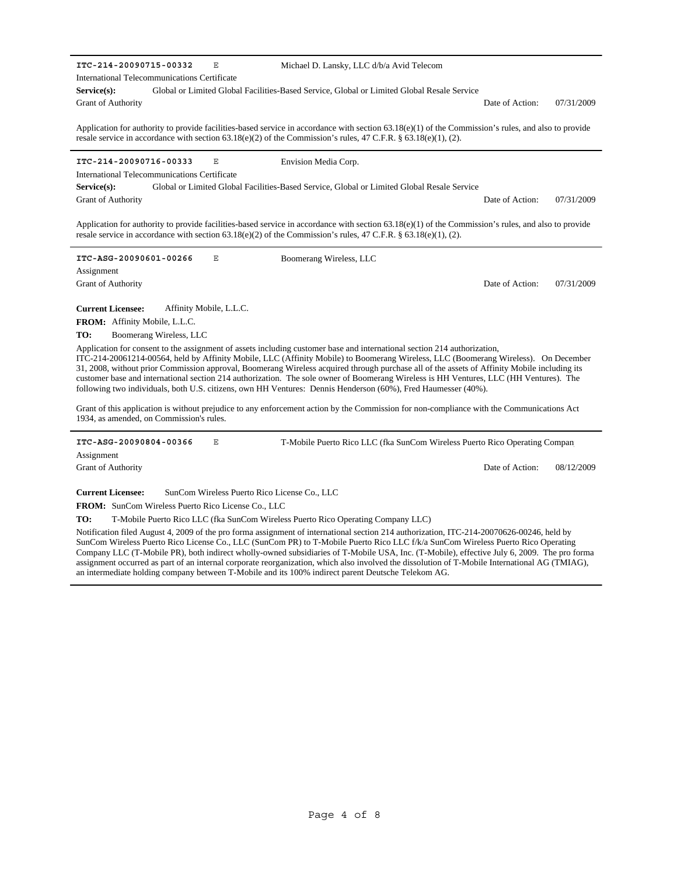**ITC-214-20090715-00332** E

International Telecommunications Certificate

Global or Limited Global Facilities-Based Service, Global or Limited Global Resale Service Date of Action: 07/31/2009 **Service(s):** Grant of Authority

Application for authority to provide facilities-based service in accordance with section 63.18(e)(1) of the Commission's rules, and also to provide resale service in accordance with section 63.18(e)(2) of the Commission's rules, 47 C.F.R. § 63.18(e)(1), (2).

Envision Media Corp.

Michael D. Lansky, LLC d/b/a Avid Telecom

### **ITC-214-20090716-00333** E

International Telecommunications Certificate

Global or Limited Global Facilities-Based Service, Global or Limited Global Resale Service Date of Action: 07/31/2009 **Service(s):** Grant of Authority

Application for authority to provide facilities-based service in accordance with section 63.18(e)(1) of the Commission's rules, and also to provide resale service in accordance with section  $63.18(e)(2)$  of the Commission's rules,  $47$  C.F.R. §  $63.18(e)(1)$ , (2).

**ITC-ASG-20090601-00266** E

Boomerang Wireless, LLC

Grant of Authority Assignment

Grant of Authority

**Current Licensee:** Affinity Mobile, L.L.C.

FROM: Affinity Mobile, L.L.C.

**TO:** Boomerang Wireless, LLC

Application for consent to the assignment of assets including customer base and international section 214 authorization, ITC-214-20061214-00564, held by Affinity Mobile, LLC (Affinity Mobile) to Boomerang Wireless, LLC (Boomerang Wireless). On December 31, 2008, without prior Commission approval, Boomerang Wireless acquired through purchase all of the assets of Affinity Mobile including its customer base and international section 214 authorization. The sole owner of Boomerang Wireless is HH Ventures, LLC (HH Ventures). The following two individuals, both U.S. citizens, own HH Ventures: Dennis Henderson (60%), Fred Haumesser (40%).

Grant of this application is without prejudice to any enforcement action by the Commission for non-compliance with the Communications Act 1934, as amended, on Commission's rules.

**ITC-ASG-20090804-00366** E Assignment T-Mobile Puerto Rico LLC (fka SunCom Wireless Puerto Rico Operating Company

Date of Action: 08/12/2009

**Current Licensee:** SunCom Wireless Puerto Rico License Co., LLC

FROM: SunCom Wireless Puerto Rico License Co., LLC

**TO:** T-Mobile Puerto Rico LLC (fka SunCom Wireless Puerto Rico Operating Company LLC)

Notification filed August 4, 2009 of the pro forma assignment of international section 214 authorization, ITC-214-20070626-00246, held by SunCom Wireless Puerto Rico License Co., LLC (SunCom PR) to T-Mobile Puerto Rico LLC f/k/a SunCom Wireless Puerto Rico Operating Company LLC (T-Mobile PR), both indirect wholly-owned subsidiaries of T-Mobile USA, Inc. (T-Mobile), effective July 6, 2009. The pro forma assignment occurred as part of an internal corporate reorganization, which also involved the dissolution of T-Mobile International AG (TMIAG), an intermediate holding company between T-Mobile and its 100% indirect parent Deutsche Telekom AG.

Date of Action: 07/31/2009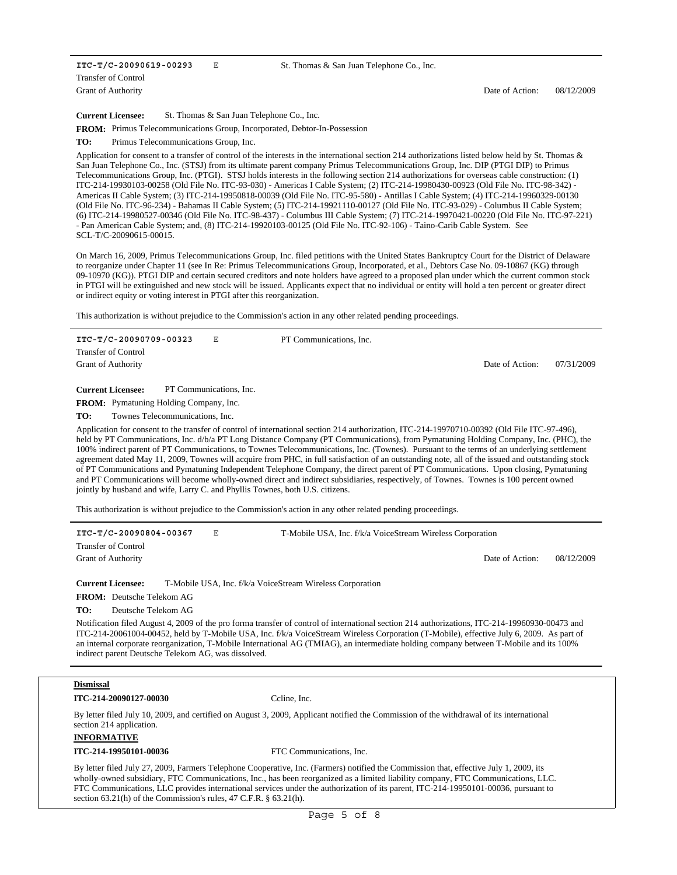**ITC-T/C-20090619-00293** E Grant of Authority Transfer of Control

**Current Licensee:** St. Thomas & San Juan Telephone Co., Inc.

FROM: Primus Telecommunications Group, Incorporated, Debtor-In-Possession

**TO:** Primus Telecommunications Group, Inc.

Application for consent to a transfer of control of the interests in the international section 214 authorizations listed below held by St. Thomas & San Juan Telephone Co., Inc. (STSJ) from its ultimate parent company Primus Telecommunications Group, Inc. DIP (PTGI DIP) to Primus Telecommunications Group, Inc. (PTGI). STSJ holds interests in the following section 214 authorizations for overseas cable construction: (1) ITC-214-19930103-00258 (Old File No. ITC-93-030) - Americas I Cable System; (2) ITC-214-19980430-00923 (Old File No. ITC-98-342) - Americas II Cable System; (3) ITC-214-19950818-00039 (Old File No. ITC-95-580) - Antillas I Cable System; (4) ITC-214-19960329-00130 (Old File No. ITC-96-234) - Bahamas II Cable System; (5) ITC-214-19921110-00127 (Old File No. ITC-93-029) - Columbus II Cable System; (6) ITC-214-19980527-00346 (Old File No. ITC-98-437) - Columbus III Cable System; (7) ITC-214-19970421-00220 (Old File No. ITC-97-221) - Pan American Cable System; and, (8) ITC-214-19920103-00125 (Old File No. ITC-92-106) - Taino-Carib Cable System. See SCL-T/C-20090615-00015.

On March 16, 2009, Primus Telecommunications Group, Inc. filed petitions with the United States Bankruptcy Court for the District of Delaware to reorganize under Chapter 11 (see In Re: Primus Telecommunications Group, Incorporated, et al., Debtors Case No. 09-10867 (KG) through 09-10970 (KG)). PTGI DIP and certain secured creditors and note holders have agreed to a proposed plan under which the current common stock in PTGI will be extinguished and new stock will be issued. Applicants expect that no individual or entity will hold a ten percent or greater direct or indirect equity or voting interest in PTGI after this reorganization.

This authorization is without prejudice to the Commission's action in any other related pending proceedings.

**ITC-T/C-20090709-00323** E Date of Action: 07/31/2009 Grant of Authority Transfer of Control PT Communications, Inc.

**Current Licensee:** PT Communications, Inc.

FROM: Pymatuning Holding Company, Inc.

**TO:** Townes Telecommunications, Inc.

Application for consent to the transfer of control of international section 214 authorization, ITC-214-19970710-00392 (Old File ITC-97-496), held by PT Communications, Inc. d/b/a PT Long Distance Company (PT Communications), from Pymatuning Holding Company, Inc. (PHC), the 100% indirect parent of PT Communications, to Townes Telecommunications, Inc. (Townes). Pursuant to the terms of an underlying settlement agreement dated May 11, 2009, Townes will acquire from PHC, in full satisfaction of an outstanding note, all of the issued and outstanding stock of PT Communications and Pymatuning Independent Telephone Company, the direct parent of PT Communications. Upon closing, Pymatuning and PT Communications will become wholly-owned direct and indirect subsidiaries, respectively, of Townes. Townes is 100 percent owned jointly by husband and wife, Larry C. and Phyllis Townes, both U.S. citizens.

This authorization is without prejudice to the Commission's action in any other related pending proceedings.

| ITC-T/C-20090804-00367     | Е | T-Mobile USA, Inc. f/k/a VoiceStream Wireless Corporation |                 |            |
|----------------------------|---|-----------------------------------------------------------|-----------------|------------|
| <b>Transfer of Control</b> |   |                                                           |                 |            |
| <b>Grant of Authority</b>  |   |                                                           | Date of Action: | 08/12/2009 |
|                            |   |                                                           |                 |            |

**Current Licensee:** T-Mobile USA, Inc. f/k/a VoiceStream Wireless Corporation

FROM: Deutsche Telekom AG

**TO:** Deutsche Telekom AG

Notification filed August 4, 2009 of the pro forma transfer of control of international section 214 authorizations, ITC-214-19960930-00473 and ITC-214-20061004-00452, held by T-Mobile USA, Inc. f/k/a VoiceStream Wireless Corporation (T-Mobile), effective July 6, 2009. As part of an internal corporate reorganization, T-Mobile International AG (TMIAG), an intermediate holding company between T-Mobile and its 100% indirect parent Deutsche Telekom AG, was dissolved.

#### **Dismissal**

**ITC-214-20090127-00030** Ccline, Inc.

By letter filed July 10, 2009, and certified on August 3, 2009, Applicant notified the Commission of the withdrawal of its international section 214 application.

**INFORMATIVE**

**ITC-214-19950101-00036** FTC Communications, Inc.

By letter filed July 27, 2009, Farmers Telephone Cooperative, Inc. (Farmers) notified the Commission that, effective July 1, 2009, its wholly-owned subsidiary, FTC Communications, Inc., has been reorganized as a limited liability company, FTC Communications, LLC. FTC Communications, LLC provides international services under the authorization of its parent, ITC-214-19950101-00036, pursuant to section 63.21(h) of the Commission's rules, 47 C.F.R. § 63.21(h).

Date of Action: 08/12/2009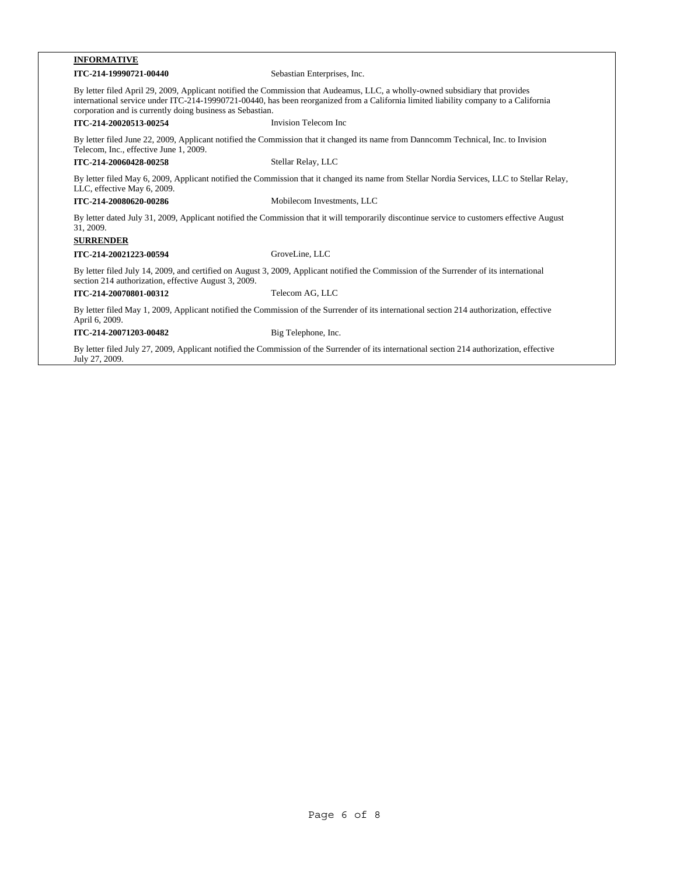| <b>INFORMATIVE</b>                                                                                                                                                                                                                                                                                                                 |                                                                                                                                         |  |
|------------------------------------------------------------------------------------------------------------------------------------------------------------------------------------------------------------------------------------------------------------------------------------------------------------------------------------|-----------------------------------------------------------------------------------------------------------------------------------------|--|
| ITC-214-19990721-00440                                                                                                                                                                                                                                                                                                             | Sebastian Enterprises, Inc.                                                                                                             |  |
| By letter filed April 29, 2009, Applicant notified the Commission that Audeamus, LLC, a wholly-owned subsidiary that provides<br>international service under ITC-214-19990721-00440, has been reorganized from a California limited liability company to a California<br>corporation and is currently doing business as Sebastian. |                                                                                                                                         |  |
| ITC-214-20020513-00254                                                                                                                                                                                                                                                                                                             | Invision Telecom Inc                                                                                                                    |  |
| By letter filed June 22, 2009, Applicant notified the Commission that it changed its name from Danncomm Technical, Inc. to Invision<br>Telecom, Inc., effective June 1, 2009.                                                                                                                                                      |                                                                                                                                         |  |
| ITC-214-20060428-00258                                                                                                                                                                                                                                                                                                             | Stellar Relay, LLC                                                                                                                      |  |
| By letter filed May 6, 2009, Applicant notified the Commission that it changed its name from Stellar Nordia Services, LLC to Stellar Relay,<br>LLC, effective May 6, 2009.                                                                                                                                                         |                                                                                                                                         |  |
| ITC-214-20080620-00286                                                                                                                                                                                                                                                                                                             | Mobilecom Investments, LLC                                                                                                              |  |
| By letter dated July 31, 2009, Applicant notified the Commission that it will temporarily discontinue service to customers effective August<br>31, 2009.<br><b>SURRENDER</b>                                                                                                                                                       |                                                                                                                                         |  |
| ITC-214-20021223-00594                                                                                                                                                                                                                                                                                                             | GroveLine, LLC                                                                                                                          |  |
| section 214 authorization, effective August 3, 2009.                                                                                                                                                                                                                                                                               | By letter filed July 14, 2009, and certified on August 3, 2009, Applicant notified the Commission of the Surrender of its international |  |
| ITC-214-20070801-00312                                                                                                                                                                                                                                                                                                             | Telecom AG, LLC                                                                                                                         |  |
| By letter filed May 1, 2009, Applicant notified the Commission of the Surrender of its international section 214 authorization, effective<br>April 6, 2009.                                                                                                                                                                        |                                                                                                                                         |  |
| ITC-214-20071203-00482                                                                                                                                                                                                                                                                                                             | Big Telephone, Inc.                                                                                                                     |  |

By letter filed July 27, 2009, Applicant notified the Commission of the Surrender of its international section 214 authorization, effective July 27, 2009.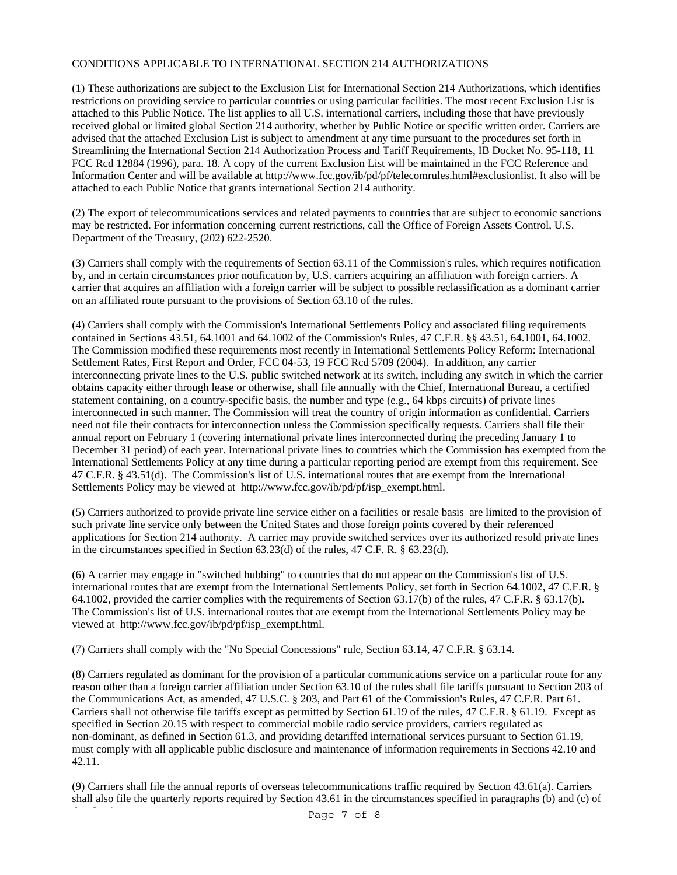# CONDITIONS APPLICABLE TO INTERNATIONAL SECTION 214 AUTHORIZATIONS

(1) These authorizations are subject to the Exclusion List for International Section 214 Authorizations, which identifies restrictions on providing service to particular countries or using particular facilities. The most recent Exclusion List is attached to this Public Notice. The list applies to all U.S. international carriers, including those that have previously received global or limited global Section 214 authority, whether by Public Notice or specific written order. Carriers are advised that the attached Exclusion List is subject to amendment at any time pursuant to the procedures set forth in Streamlining the International Section 214 Authorization Process and Tariff Requirements, IB Docket No. 95-118, 11 FCC Rcd 12884 (1996), para. 18. A copy of the current Exclusion List will be maintained in the FCC Reference and Information Center and will be available at http://www.fcc.gov/ib/pd/pf/telecomrules.html#exclusionlist. It also will be attached to each Public Notice that grants international Section 214 authority.

(2) The export of telecommunications services and related payments to countries that are subject to economic sanctions may be restricted. For information concerning current restrictions, call the Office of Foreign Assets Control, U.S. Department of the Treasury, (202) 622-2520.

(3) Carriers shall comply with the requirements of Section 63.11 of the Commission's rules, which requires notification by, and in certain circumstances prior notification by, U.S. carriers acquiring an affiliation with foreign carriers. A carrier that acquires an affiliation with a foreign carrier will be subject to possible reclassification as a dominant carrier on an affiliated route pursuant to the provisions of Section 63.10 of the rules.

(4) Carriers shall comply with the Commission's International Settlements Policy and associated filing requirements contained in Sections 43.51, 64.1001 and 64.1002 of the Commission's Rules, 47 C.F.R. §§ 43.51, 64.1001, 64.1002. The Commission modified these requirements most recently in International Settlements Policy Reform: International Settlement Rates, First Report and Order, FCC 04-53, 19 FCC Rcd 5709 (2004). In addition, any carrier interconnecting private lines to the U.S. public switched network at its switch, including any switch in which the carrier obtains capacity either through lease or otherwise, shall file annually with the Chief, International Bureau, a certified statement containing, on a country-specific basis, the number and type (e.g., 64 kbps circuits) of private lines interconnected in such manner. The Commission will treat the country of origin information as confidential. Carriers need not file their contracts for interconnection unless the Commission specifically requests. Carriers shall file their annual report on February 1 (covering international private lines interconnected during the preceding January 1 to December 31 period) of each year. International private lines to countries which the Commission has exempted from the International Settlements Policy at any time during a particular reporting period are exempt from this requirement. See 47 C.F.R. § 43.51(d). The Commission's list of U.S. international routes that are exempt from the International Settlements Policy may be viewed at http://www.fcc.gov/ib/pd/pf/isp\_exempt.html.

(5) Carriers authorized to provide private line service either on a facilities or resale basis are limited to the provision of such private line service only between the United States and those foreign points covered by their referenced applications for Section 214 authority. A carrier may provide switched services over its authorized resold private lines in the circumstances specified in Section 63.23(d) of the rules, 47 C.F. R. § 63.23(d).

(6) A carrier may engage in "switched hubbing" to countries that do not appear on the Commission's list of U.S. international routes that are exempt from the International Settlements Policy, set forth in Section 64.1002, 47 C.F.R. § 64.1002, provided the carrier complies with the requirements of Section 63.17(b) of the rules, 47 C.F.R. § 63.17(b). The Commission's list of U.S. international routes that are exempt from the International Settlements Policy may be viewed at http://www.fcc.gov/ib/pd/pf/isp\_exempt.html.

(7) Carriers shall comply with the "No Special Concessions" rule, Section 63.14, 47 C.F.R. § 63.14.

(8) Carriers regulated as dominant for the provision of a particular communications service on a particular route for any reason other than a foreign carrier affiliation under Section 63.10 of the rules shall file tariffs pursuant to Section 203 of the Communications Act, as amended, 47 U.S.C. § 203, and Part 61 of the Commission's Rules, 47 C.F.R. Part 61. Carriers shall not otherwise file tariffs except as permitted by Section 61.19 of the rules, 47 C.F.R. § 61.19. Except as specified in Section 20.15 with respect to commercial mobile radio service providers, carriers regulated as non-dominant, as defined in Section 61.3, and providing detariffed international services pursuant to Section 61.19, must comply with all applicable public disclosure and maintenance of information requirements in Sections 42.10 and 42.11.

(9) Carriers shall file the annual reports of overseas telecommunications traffic required by Section 43.61(a). Carriers shall also file the quarterly reports required by Section 43.61 in the circumstances specified in paragraphs (b) and (c) of

Page 7 of 8